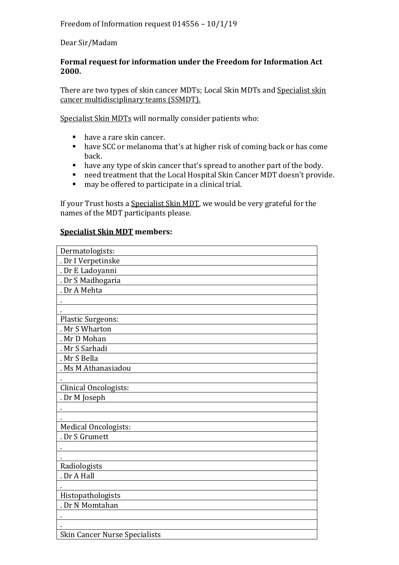Dear Sir/Madam

## **Formal request for information under the Freedom for Information Act 2000.**

There are two types of skin cancer MDTs; Local Skin MDTs and Specialist skin cancer multidisciplinary teams (SSMDT).

Specialist Skin MDTs will normally consider patients who:

- have a rare skin cancer.
- have SCC or melanoma that's at higher risk of coming back or has come back.
- have any type of skin cancer that's spread to another part of the body.
- need treatment that the Local Hospital Skin Cancer MDT doesn't provide.
- may be offered to participate in a clinical trial.

If your Trust hosts a Specialist Skin MDT, we would be very grateful for the names of the MDT participants please.

## **Specialist Skin MDT members:**

| Dermatologists:                      |
|--------------------------------------|
| . Dr I Verpetinske                   |
| . Dr E Ladoyanni                     |
| . Dr S Madhogaria                    |
| . Dr A Mehta                         |
|                                      |
|                                      |
| <b>Plastic Surgeons:</b>             |
| . Mr S Wharton                       |
| . Mr D Mohan                         |
| . Mr S Sarhadi                       |
| . Mr S Bella                         |
| . Ms M Athanasiadou                  |
|                                      |
| Clinical Oncologists:                |
| . Dr M Joseph                        |
|                                      |
|                                      |
| Medical Oncologists:                 |
| . Dr S Grumett                       |
|                                      |
|                                      |
| Radiologists                         |
| . Dr A Hall                          |
|                                      |
| Histopathologists                    |
| . Dr N Momtahan                      |
|                                      |
|                                      |
| <b>Skin Cancer Nurse Specialists</b> |
|                                      |